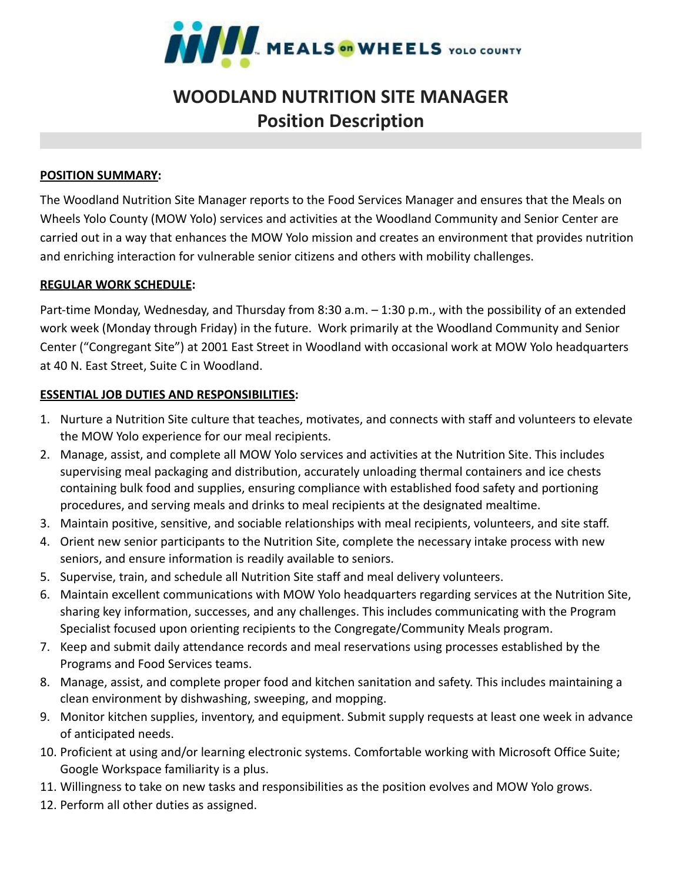

# **WOODLAND NUTRITION SITE MANAGER Position Description**

## **POSITION SUMMARY:**

The Woodland Nutrition Site Manager reports to the Food Services Manager and ensures that the Meals on Wheels Yolo County (MOW Yolo) services and activities at the Woodland Community and Senior Center are carried out in a way that enhances the MOW Yolo mission and creates an environment that provides nutrition and enriching interaction for vulnerable senior citizens and others with mobility challenges.

## **REGULAR WORK SCHEDULE:**

Part-time Monday, Wednesday, and Thursday from 8:30 a.m. – 1:30 p.m., with the possibility of an extended work week (Monday through Friday) in the future. Work primarily at the Woodland Community and Senior Center ("Congregant Site") at 2001 East Street in Woodland with occasional work at MOW Yolo headquarters at 40 N. East Street, Suite C in Woodland.

## **ESSENTIAL JOB DUTIES AND RESPONSIBILITIES:**

- 1. Nurture a Nutrition Site culture that teaches, motivates, and connects with staff and volunteers to elevate the MOW Yolo experience for our meal recipients.
- 2. Manage, assist, and complete all MOW Yolo services and activities at the Nutrition Site. This includes supervising meal packaging and distribution, accurately unloading thermal containers and ice chests containing bulk food and supplies, ensuring compliance with established food safety and portioning procedures, and serving meals and drinks to meal recipients at the designated mealtime.
- 3. Maintain positive, sensitive, and sociable relationships with meal recipients, volunteers, and site staff.
- 4. Orient new senior participants to the Nutrition Site, complete the necessary intake process with new seniors, and ensure information is readily available to seniors.
- 5. Supervise, train, and schedule all Nutrition Site staff and meal delivery volunteers.
- 6. Maintain excellent communications with MOW Yolo headquarters regarding services at the Nutrition Site, sharing key information, successes, and any challenges. This includes communicating with the Program Specialist focused upon orienting recipients to the Congregate/Community Meals program.
- 7. Keep and submit daily attendance records and meal reservations using processes established by the Programs and Food Services teams.
- 8. Manage, assist, and complete proper food and kitchen sanitation and safety. This includes maintaining a clean environment by dishwashing, sweeping, and mopping.
- 9. Monitor kitchen supplies, inventory, and equipment. Submit supply requests at least one week in advance of anticipated needs.
- 10. Proficient at using and/or learning electronic systems. Comfortable working with Microsoft Office Suite; Google Workspace familiarity is a plus.
- 11. Willingness to take on new tasks and responsibilities as the position evolves and MOW Yolo grows.
- 12. Perform all other duties as assigned.